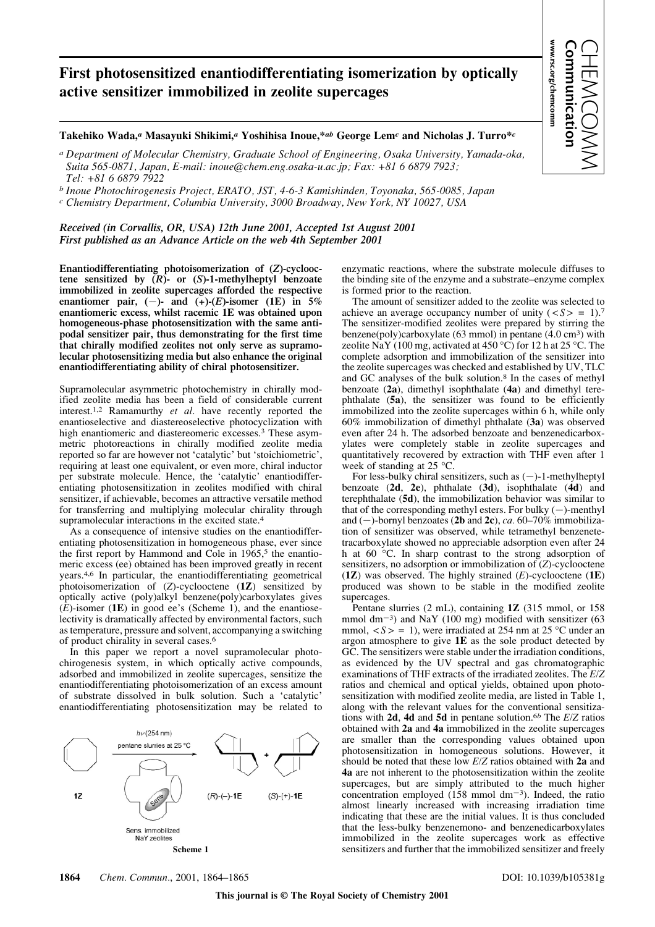## **First photosensitized enantiodifferentiating isomerization by optically active sensitizer immobilized in zeolite supercages**

## **Takehiko Wada,***<sup>a</sup>* **Masayuki Shikimi,***<sup>a</sup>* **Yoshihisa Inoue,\****ab* **George Lem***<sup>c</sup>* **and Nicholas J. Turro\****<sup>c</sup>*

*a Department of Molecular Chemistry, Graduate School of Engineering, Osaka University, Yamada-oka, Suita 565-0871, Japan, E-mail: inoue@chem.eng.osaka-u.ac.jp; Fax: +81 6 6879 7923; Tel: +81 6 6879 7922*

*b Inoue Photochirogenesis Project, ERATO, JST, 4-6-3 Kamishinden, Toyonaka, 565-0085, Japan*

*c Chemistry Department, Columbia University, 3000 Broadway, New York, NY 10027, USA*

*Received (in Corvallis, OR, USA) 12th June 2001, Accepted 1st August 2001 First published as an Advance Article on the web 4th September 2001*

**Enantiodifferentiating photoisomerization of (***Z***)-cyclooctene sensitized by (***R***)- or (***S***)-1-methylheptyl benzoate immobilized in zeolite supercages afforded the respective enantiomer** pair,  $(-)$ - and  $(+)$ - $(E)$ -isomer (1E) in 5% **enantiomeric excess, whilst racemic 1E was obtained upon homogeneous-phase photosensitization with the same antipodal sensitizer pair, thus demonstrating for the first time that chirally modified zeolites not only serve as supramolecular photosensitizing media but also enhance the original enantiodifferentiating ability of chiral photosensitizer.**

Supramolecular asymmetric photochemistry in chirally modified zeolite media has been a field of considerable current interest.1,2 Ramamurthy *et al.* have recently reported the enantioselective and diastereoselective photocyclization with high enantiomeric and diastereomeric excesses.3 These asymmetric photoreactions in chirally modified zeolite media reported so far are however not 'catalytic' but 'stoichiometric', requiring at least one equivalent, or even more, chiral inductor per substrate molecule. Hence, the 'catalytic' enantiodifferentiating photosensitization in zeolites modified with chiral sensitizer, if achievable, becomes an attractive versatile method for transferring and multiplying molecular chirality through supramolecular interactions in the excited state.<sup>4</sup>

As a consequence of intensive studies on the enantiodifferentiating photosensitization in homogeneous phase, ever since the first report by Hammond and Cole in  $1965$ ,<sup>5</sup> the enantiomeric excess (ee) obtained has been improved greatly in recent years.4,6 In particular, the enantiodifferentiating geometrical photoisomerization of (*Z*)-cyclooctene (**1Z**) sensitized by optically active (poly)alkyl benzene(poly)carboxylates gives (*E*)-isomer (**1E**) in good ee's (Scheme 1), and the enantioselectivity is dramatically affected by environmental factors, such as temperature, pressure and solvent, accompanying a switching of product chirality in several cases.6

In this paper we report a novel supramolecular photochirogenesis system, in which optically active compounds, adsorbed and immobilized in zeolite supercages, sensitize the enantiodifferentiating photoisomerization of an excess amount of substrate dissolved in bulk solution. Such a 'catalytic' enantiodifferentiating photosensitization may be related to



enzymatic reactions, where the substrate molecule diffuses to the binding site of the enzyme and a substrate–enzyme complex is formed prior to the reaction.

**www.rsc.org/chemcomm Communication** CHEMCOMM

www.rsc.org/chemcomm

The amount of sensitizer added to the zeolite was selected to achieve an average occupancy number of unity  $(*S* > = 1).7$ The sensitizer-modified zeolites were prepared by stirring the benzene(poly)carboxylate (63 mmol) in pentane (4.0 cm<sup>3</sup>) with zeolite NaY (100 mg, activated at 450 °C) for 12 h at 25 °C. The complete adsorption and immobilization of the sensitizer into the zeolite supercages was checked and established by UV, TLC and GC analyses of the bulk solution.8 In the cases of methyl benzoate (**2a**), dimethyl isophthalate (**4a**) and dimethyl terephthalate (**5a**), the sensitizer was found to be efficiently immobilized into the zeolite supercages within 6 h, while only 60% immobilization of dimethyl phthalate (**3a**) was observed even after 24 h. The adsorbed benzoate and benzenedicarboxylates were completely stable in zeolite supercages and quantitatively recovered by extraction with THF even after 1 week of standing at 25 °C.

For less-bulky chiral sensitizers, such as  $(-)$ -1-methylheptyl benzoate (**2d**, **2e**), phthalate (**3d**), isophthalate (**4d**) and terephthalate (**5d**), the immobilization behavior was similar to that of the corresponding methyl esters. For bulky  $(-)$ -menthyl and  $(-)$ -bornyl benzoates (2b and 2c), *ca.* 60–70% immobilization of sensitizer was observed, while tetramethyl benzenetetracarboxylate showed no appreciable adsorption even after 24 h at 60 °C. In sharp contrast to the strong adsorption of sensitizers, no adsorption or immobilization of (*Z*)-cyclooctene (**1Z**) was observed. The highly strained (*E*)-cyclooctene (**1E**) produced was shown to be stable in the modified zeolite supercages.

Pentane slurries (2 mL), containing **1Z** (315 mmol, or 158 mmol dm<sup>-3</sup>) and NaY (100 mg) modified with sensitizer (63 mmol,  $\langle S \rangle = 1$ , were irradiated at 254 nm at 25 °C under an argon atmosphere to give **1E** as the sole product detected by GC. The sensitizers were stable under the irradiation conditions, as evidenced by the UV spectral and gas chromatographic examinations of THF extracts of the irradiated zeolites. The *E/Z* ratios and chemical and optical yields, obtained upon photosensitization with modified zeolite media, are listed in Table 1, along with the relevant values for the conventional sensitizations with **2d**, **4d** and **5d** in pentane solution.6*<sup>b</sup>* The *E/Z* ratios obtained with **2a** and **4a** immobilized in the zeolite supercages are smaller than the corresponding values obtained upon photosensitization in homogeneous solutions. However, it should be noted that these low *E/Z* ratios obtained with **2a** and **4a** are not inherent to the photosensitization within the zeolite supercages, but are simply attributed to the much higher concentration employed  $(158 \text{ mmol dm}^{-3})$ . Indeed, the ratio almost linearly increased with increasing irradiation time indicating that these are the initial values. It is thus concluded that the less-bulky benzenemono- and benzenedicarboxylates immobilized in the zeolite supercages work as effective **Scheme 1** sensitizers and further that the immobilized sensitizer and freely